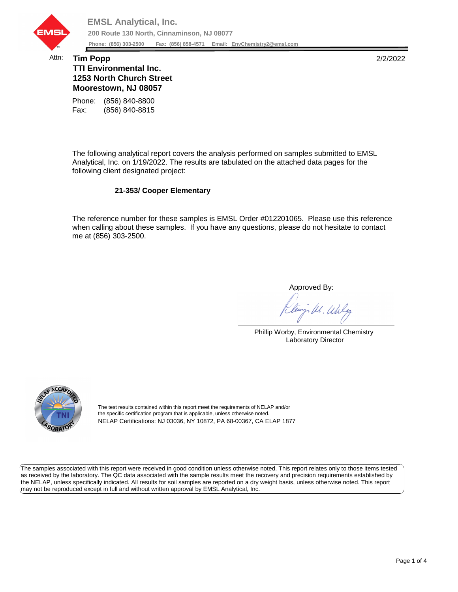

## Attn: **Tim Popp** 2/2/2022 **TTI Environmental Inc. 1253 North Church Street Moorestown, NJ 08057**

Fax: (856) 840-8815 Phone: (856) 840-8800

The following analytical report covers the analysis performed on samples submitted to EMSL Analytical, Inc. on 1/19/2022. The results are tabulated on the attached data pages for the following client designated project:

## **21-353/ Cooper Elementary**

The reference number for these samples is EMSL Order #012201065. Please use this reference when calling about these samples. If you have any questions, please do not hesitate to contact me at (856) 303-2500.

Approved By:

W. Whly

Phillip Worby, Environmental Chemistry Laboratory Director



The test results contained within this report meet the requirements of NELAP and/or the specific certification program that is applicable, unless otherwise noted. NELAP Certifications: NJ 03036, NY 10872, PA 68-00367, CA ELAP 1877

The samples associated with this report were received in good condition unless otherwise noted. This report relates only to those items tested as received by the laboratory. The QC data associated with the sample results meet the recovery and precision requirements established by the NELAP, unless specifically indicated. All results for soil samples are reported on a dry weight basis, unless otherwise noted. This report may not be reproduced except in full and without written approval by EMSL Analytical, Inc.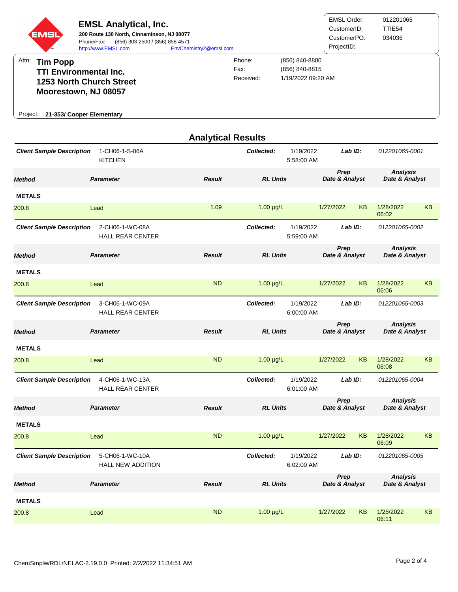

|                                  | <b>Analytical Results</b>                   |               |                 |                                    |                                   |  |  |  |  |
|----------------------------------|---------------------------------------------|---------------|-----------------|------------------------------------|-----------------------------------|--|--|--|--|
| <b>Client Sample Description</b> | 1-CH06-1-S-06A<br><b>KITCHEN</b>            |               | Collected:      | 1/19/2022<br>Lab ID:<br>5:58:00 AM | 012201065-0001                    |  |  |  |  |
| <b>Method</b>                    | <b>Parameter</b>                            | <b>Result</b> | <b>RL Units</b> | Prep<br>Date & Analyst             | <b>Analysis</b><br>Date & Analyst |  |  |  |  |
| <b>METALS</b>                    |                                             |               |                 |                                    |                                   |  |  |  |  |
| 200.8                            | Lead                                        | 1.09          | $1.00 \mu g/L$  | 1/27/2022<br><b>KB</b>             | 1/28/2022<br><b>KB</b><br>06:02   |  |  |  |  |
| <b>Client Sample Description</b> | 2-CH06-1-WC-08A<br><b>HALL REAR CENTER</b>  |               | Collected:      | 1/19/2022<br>Lab ID:<br>5:59:00 AM | 012201065-0002                    |  |  |  |  |
| <b>Method</b>                    | <b>Parameter</b>                            | <b>Result</b> | <b>RL Units</b> | Prep<br>Date & Analyst             | <b>Analysis</b><br>Date & Analyst |  |  |  |  |
| <b>METALS</b>                    |                                             |               |                 |                                    |                                   |  |  |  |  |
| 200.8                            | Lead                                        | <b>ND</b>     | $1.00 \mu g/L$  | <b>KB</b><br>1/27/2022             | 1/28/2022<br><b>KB</b><br>06:06   |  |  |  |  |
| <b>Client Sample Description</b> | 3-CH06-1-WC-09A<br><b>HALL REAR CENTER</b>  |               | Collected:      | 1/19/2022<br>Lab ID:<br>6:00:00 AM | 012201065-0003                    |  |  |  |  |
| <b>Method</b>                    | <b>Parameter</b>                            | <b>Result</b> | <b>RL Units</b> | Prep<br>Date & Analyst             | <b>Analysis</b><br>Date & Analyst |  |  |  |  |
| <b>METALS</b>                    |                                             |               |                 |                                    |                                   |  |  |  |  |
| 200.8                            | Lead                                        | <b>ND</b>     | $1.00 \mu g/L$  | <b>KB</b><br>1/27/2022             | 1/28/2022<br><b>KB</b><br>06:08   |  |  |  |  |
| <b>Client Sample Description</b> | 4-CH06-1-WC-13A<br><b>HALL REAR CENTER</b>  |               | Collected:      | 1/19/2022<br>Lab ID:<br>6:01:00 AM | 012201065-0004                    |  |  |  |  |
| <b>Method</b>                    | <b>Parameter</b>                            | <b>Result</b> | <b>RL Units</b> | Prep<br>Date & Analyst             | <b>Analysis</b><br>Date & Analyst |  |  |  |  |
| <b>METALS</b>                    |                                             |               |                 |                                    |                                   |  |  |  |  |
| 200.8                            | Lead                                        | <b>ND</b>     | $1.00 \mu g/L$  | <b>KB</b><br>1/27/2022             | 1/28/2022<br><b>KB</b><br>06:09   |  |  |  |  |
| <b>Client Sample Description</b> | 5-CH06-1-WC-10A<br><b>HALL NEW ADDITION</b> |               | Collected:      | 1/19/2022<br>Lab ID:<br>6:02:00 AM | 012201065-0005                    |  |  |  |  |
| <b>Method</b>                    | <b>Parameter</b>                            | <b>Result</b> | <b>RL Units</b> | Prep<br>Date & Analyst             | <b>Analysis</b><br>Date & Analyst |  |  |  |  |
| <b>METALS</b>                    |                                             |               |                 |                                    |                                   |  |  |  |  |
| 200.8                            | Lead                                        | <b>ND</b>     | $1.00 \mu g/L$  | <b>KB</b><br>1/27/2022             | <b>KB</b><br>1/28/2022<br>06:11   |  |  |  |  |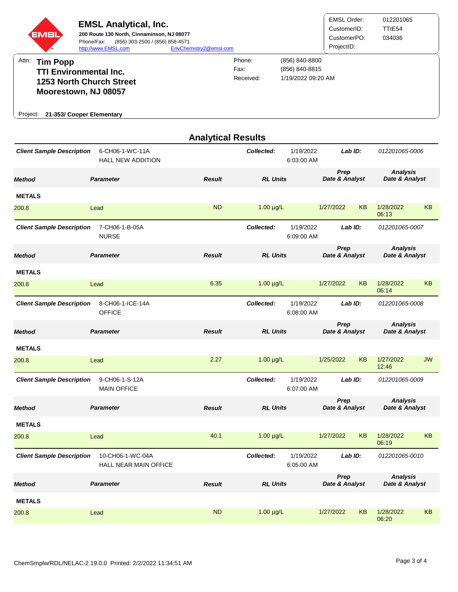

| 200.8                            | Lead                                             | <b>ND</b>     | $1.00 \mu g/L$  | 1/27/2022<br><b>KB</b>             | 1/28/2022<br><b>KB</b><br>06:13   |  |
|----------------------------------|--------------------------------------------------|---------------|-----------------|------------------------------------|-----------------------------------|--|
| <b>Client Sample Description</b> | 7-CH06-1-B-05A<br><b>NURSE</b>                   |               | Collected:      | 1/19/2022<br>Lab ID:<br>6:09:00 AM | 012201065-0007                    |  |
| <b>Method</b>                    | <b>Parameter</b>                                 | <b>Result</b> | <b>RL Units</b> | Prep<br>Date & Analyst             | <b>Analysis</b><br>Date & Analyst |  |
| <b>METALS</b>                    |                                                  |               |                 |                                    |                                   |  |
| 200.8                            | Lead                                             | 6.35          | $1.00 \mu g/L$  | 1/27/2022<br><b>KB</b>             | 1/28/2022<br><b>KB</b><br>06:14   |  |
| <b>Client Sample Description</b> | 8-CH06-1-ICE-14A<br><b>OFFICE</b>                |               | Collected:      | 1/19/2022<br>Lab ID:<br>6:08:00 AM | 012201065-0008                    |  |
| <b>Method</b>                    | <b>Parameter</b>                                 | <b>Result</b> | <b>RL Units</b> | Prep<br>Date & Analyst             | <b>Analysis</b><br>Date & Analyst |  |
| <b>METALS</b>                    |                                                  |               |                 |                                    |                                   |  |
| 200.8                            | Lead                                             | 2.27          | $1.00 \mu g/L$  | 1/25/2022<br><b>KB</b>             | 1/27/2022<br><b>JW</b><br>12:46   |  |
| <b>Client Sample Description</b> | 9-CH06-1-S-12A<br><b>MAIN OFFICE</b>             |               | Collected:      | 1/19/2022<br>Lab ID:<br>6:07:00 AM | 012201065-0009                    |  |
| <b>Method</b>                    | <b>Parameter</b>                                 | <b>Result</b> | <b>RL Units</b> | Prep<br>Date & Analyst             | <b>Analysis</b><br>Date & Analyst |  |
| <b>METALS</b>                    |                                                  |               |                 |                                    |                                   |  |
| 200.8                            | Lead                                             | 40.1          | $1.00 \mu g/L$  | 1/27/2022<br><b>KB</b>             | 1/28/2022<br><b>KB</b><br>06:19   |  |
| <b>Client Sample Description</b> | 10-CH06-1-WC-04A<br><b>HALL NEAR MAIN OFFICE</b> |               | Collected:      | 1/19/2022<br>Lab ID:<br>6:05:00 AM | 012201065-0010                    |  |
| <b>Method</b>                    | <b>Parameter</b>                                 | <b>Result</b> | <b>RL Units</b> | Prep<br>Date & Analyst             | <b>Analysis</b><br>Date & Analyst |  |
| <b>METALS</b>                    |                                                  |               |                 |                                    |                                   |  |
| 200.8                            | Lead                                             | <b>ND</b>     | $1.00 \mu g/L$  | 1/27/2022<br><b>KB</b>             | 1/28/2022<br><b>KB</b>            |  |

06:20